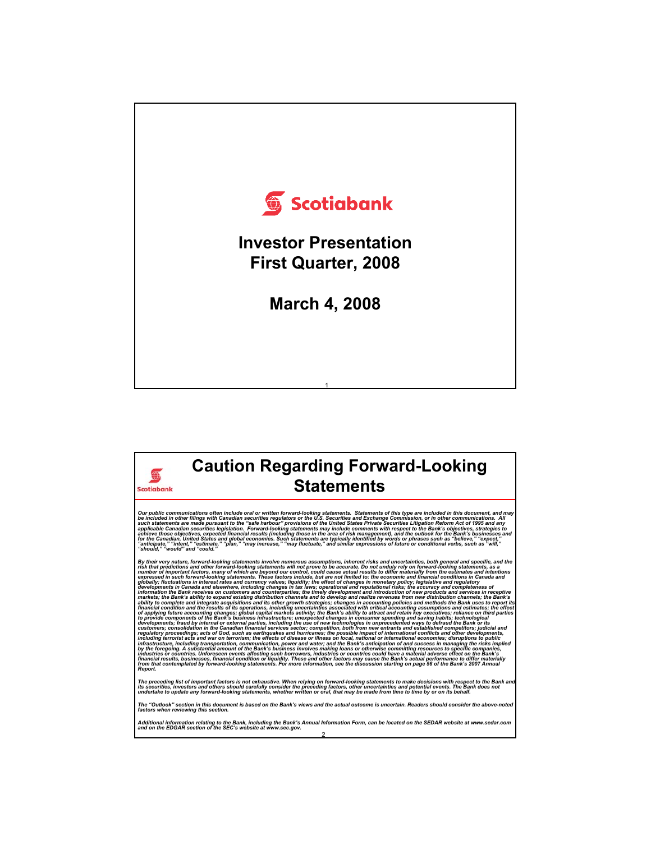



⊕

**Caution Regarding Forward-Looking** 

By their very nature, forward-looking statements involve numerous assumptions, inherent risks and uncertainties, both general and the<br>risk that predictions and other forward-looking statements will not prove to be accurate developments in Canada and elsewhere, including changes in tax laws; operational and reputational risks; the accuracy and completeness of<br>information the Bank receives on customers and counterparties; the timely developmen markets; the Bank's ability to expand existing distribution channels and to develop and realize revenues from new distribution channels; the Bank's<br>ability to complete and integrate acquisitions and its other growth strate by the foregoing. A substantial amount of the Bank's business involves making loans or otherwise committing resources to specific companies,<br>industries or countries. Unforeseen events affecting such borrowers, industries o from that contemplated by forward-looking statements. For more information, see the discussion starting on page 56 of the Bank's 2007 Annual<br>Report.

The preceding list of important factors is not exhaustive. When relying on forward-looking statements to make decisions with respect to the Bank and<br>its securities, investors and others should carefully consider the preced

*The "Outlook" section in this document is based on the Bank's views and the actual outcome is uncertain. Readers should consider the above-noted factors when reviewing this section.*

2 Additional information relating to the Bank, including the Bank's Annual Information Form, can be located on the SEDAR website at www.sedar.com<br>and on the EDGAR section of the SEC's website at www.sec.gov.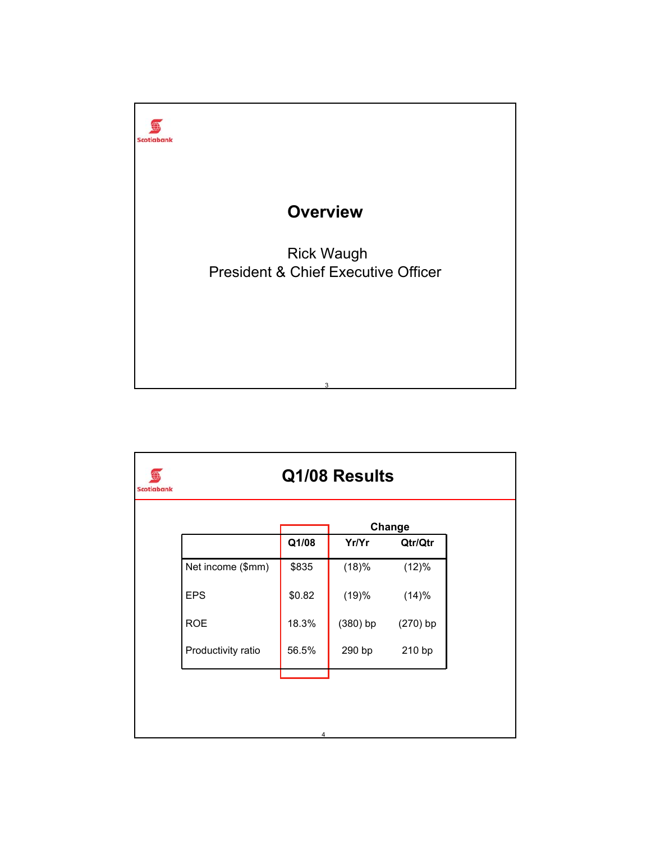

|                    |        |                  | Change     |  |  |
|--------------------|--------|------------------|------------|--|--|
|                    | Q1/08  | Yr/Yr<br>Qtr/Qtr |            |  |  |
| Net income (\$mm)  | \$835  | (18)%            | (12)%      |  |  |
| <b>EPS</b>         | \$0.82 | (19)%            | (14)%      |  |  |
| <b>ROE</b>         | 18.3%  | $(380)$ bp       | $(270)$ bp |  |  |
| Productivity ratio | 56.5%  | 290 bp           | 210 bp     |  |  |
|                    |        |                  |            |  |  |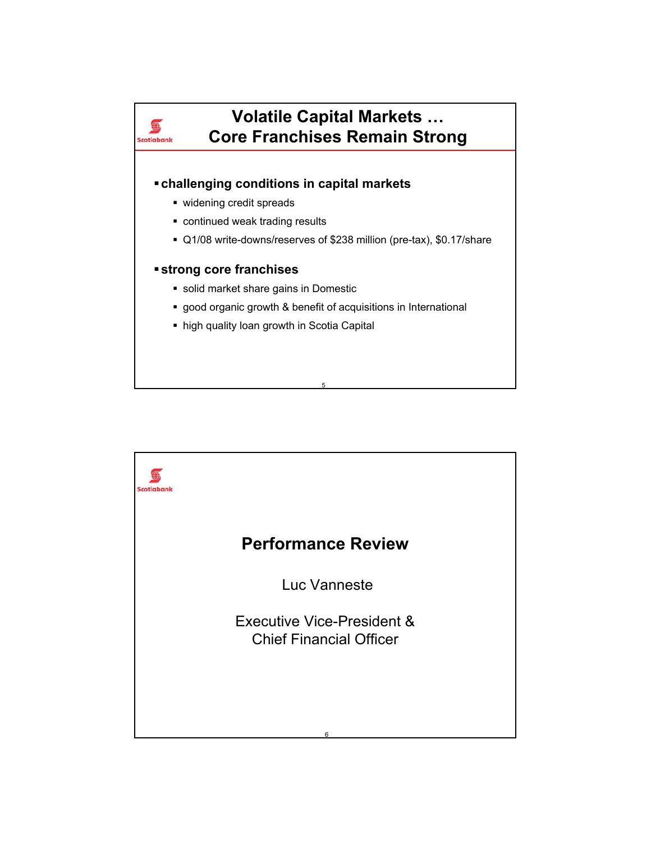

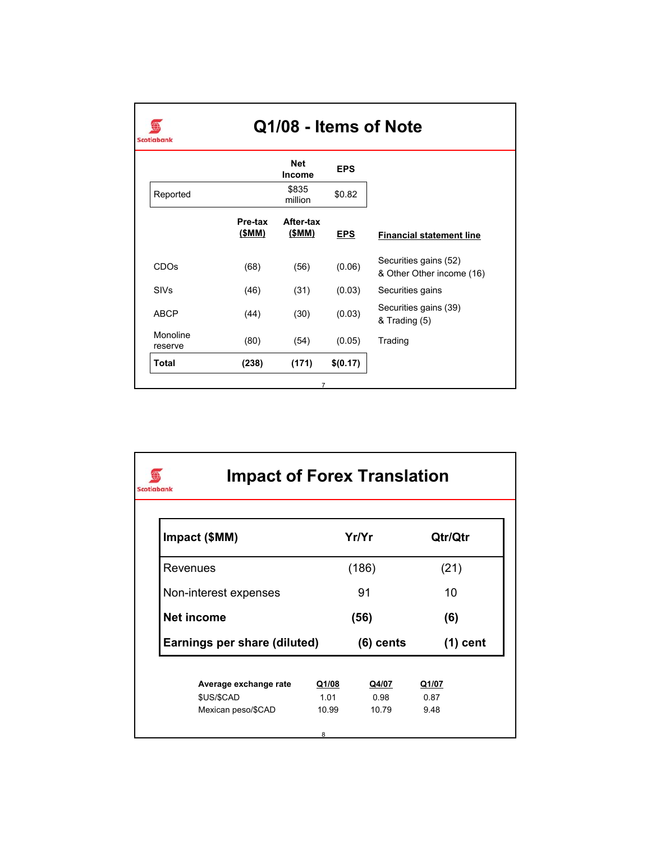

## **Q1/08 - Items of Note**

|                     |                  | <b>Net</b><br>Income | <b>EPS</b> |                                                    |
|---------------------|------------------|----------------------|------------|----------------------------------------------------|
| Reported            |                  | \$835<br>million     | \$0.82     |                                                    |
|                     | Pre-tax<br>(SMM) | After-tax<br>(\$MM)  | <b>EPS</b> | <b>Financial statement line</b>                    |
| <b>CDOs</b>         | (68)             | (56)                 | (0.06)     | Securities gains (52)<br>& Other Other income (16) |
| <b>SIVs</b>         | (46)             | (31)                 | (0.03)     | Securities gains                                   |
| <b>ABCP</b>         | (44)             | (30)                 | (0.03)     | Securities gains (39)<br>& Trading (5)             |
| Monoline<br>reserve | (80)             | (54)                 | (0.05)     | Trading                                            |
| Total               | (238)            | (171)                | \$(0.17)   |                                                    |

| Impact (\$MM)                |       | Yr/Yr       | Qtr/Qtr    |
|------------------------------|-------|-------------|------------|
| Revenues                     |       | (186)       | (21)       |
| Non-interest expenses        |       | 91          | 10         |
| Net income                   |       | (56)        | (6)        |
| Earnings per share (diluted) |       | $(6)$ cents | $(1)$ cent |
| Average exchange rate        | Q1/08 | Q4/07       | Q1/07      |
| \$US/\$CAD                   | 1 0 1 | 0.98        | 0.87       |
| Mexican peso/\$CAD           | 10.99 | 10.79       | 9.48       |
|                              | 8     |             |            |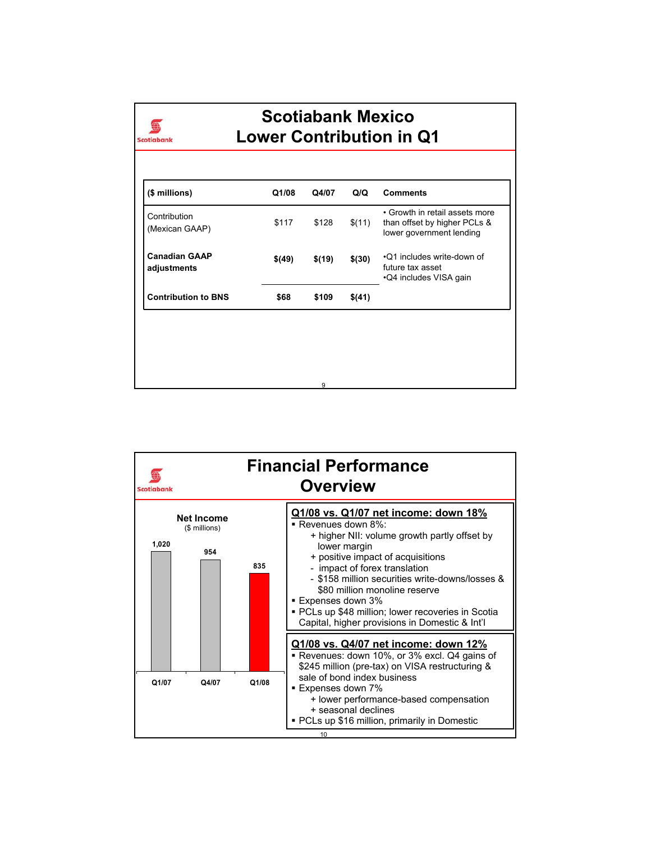

## **Scotiabank Mexico Lower Contribution in Q1**

| (\$ millions)                       | Q1/08  | Q4/07  | Q/Q        | <b>Comments</b>                                                                            |
|-------------------------------------|--------|--------|------------|--------------------------------------------------------------------------------------------|
| Contribution<br>(Mexican GAAP)      | \$117  | \$128  | \$(11)     | • Growth in retail assets more<br>than offset by higher PCLs &<br>lower government lending |
| <b>Canadian GAAP</b><br>adjustments | \$(49) | \$(19) | $$^{(30)}$ | •Q1 includes write-down of<br>future tax asset<br>•Q4 includes VISA gain                   |
| <b>Contribution to BNS</b>          | \$68   | \$109  | \$(41)     |                                                                                            |

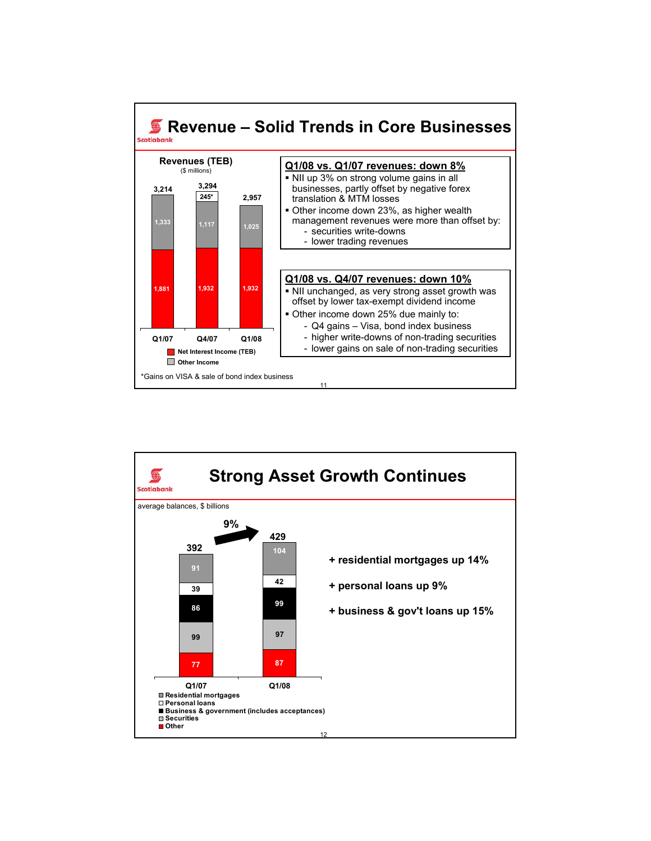

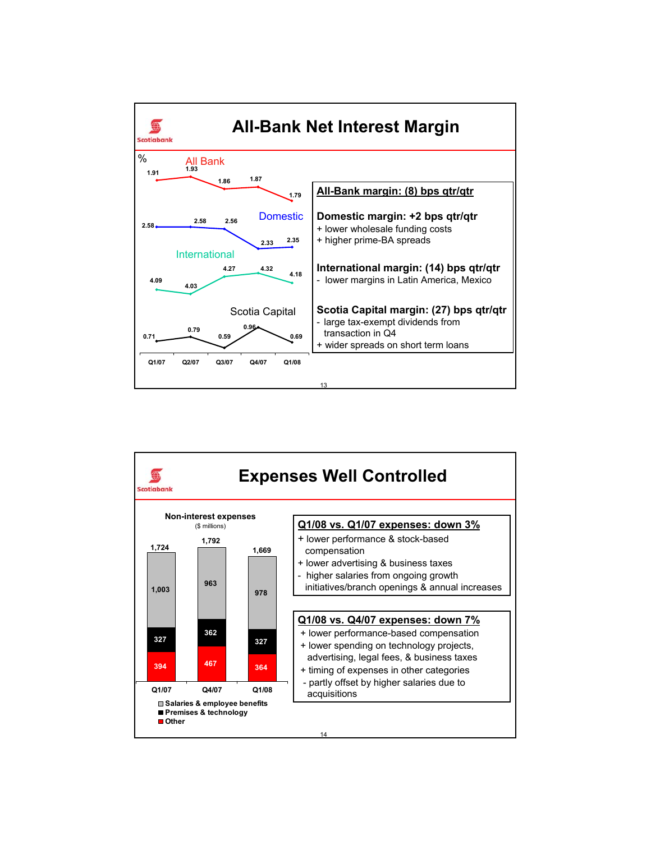

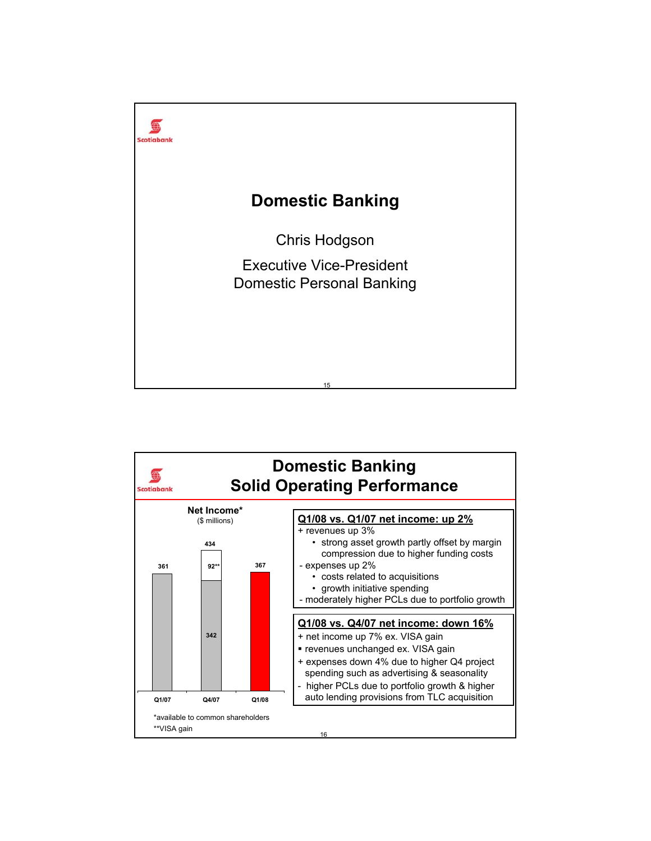

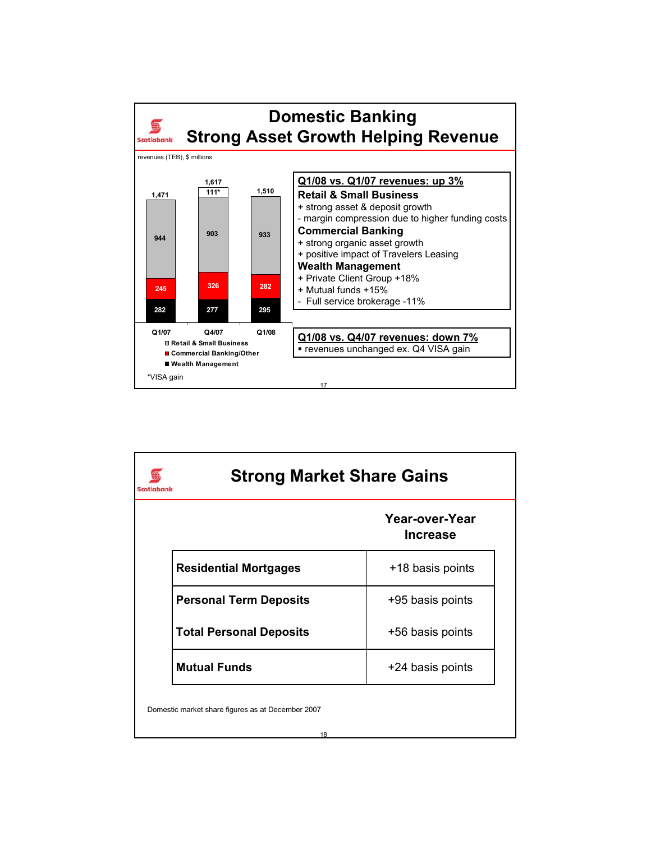

| <b>Strong Market Share Gains</b> |                                   |  |  |
|----------------------------------|-----------------------------------|--|--|
|                                  | Year-over-Year<br><b>Increase</b> |  |  |
| <b>Residential Mortgages</b>     | +18 basis points                  |  |  |
| <b>Personal Term Deposits</b>    | +95 basis points                  |  |  |
| <b>Total Personal Deposits</b>   | +56 basis points                  |  |  |
| <b>Mutual Funds</b>              | +24 basis points                  |  |  |

Domestic market share figures as at December 2007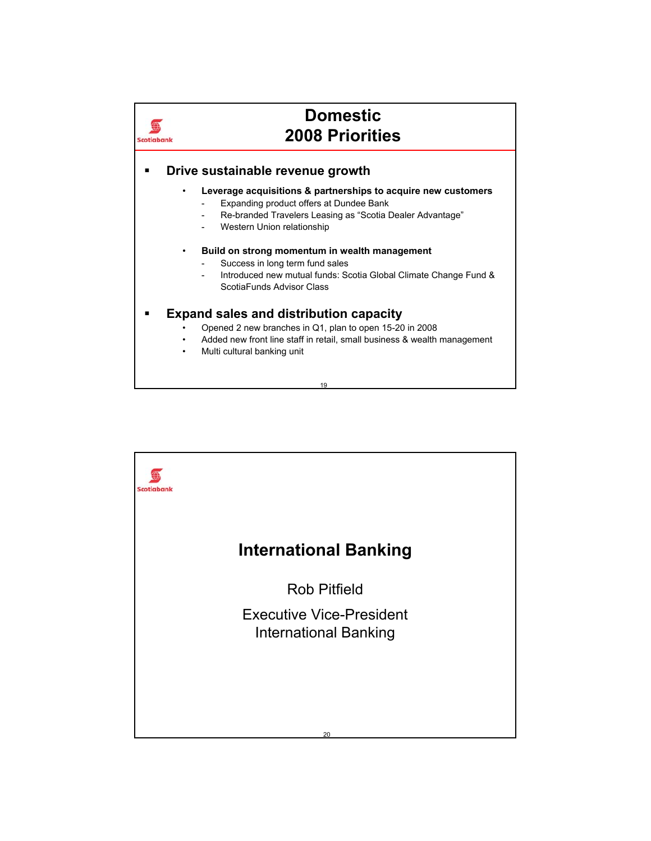

19

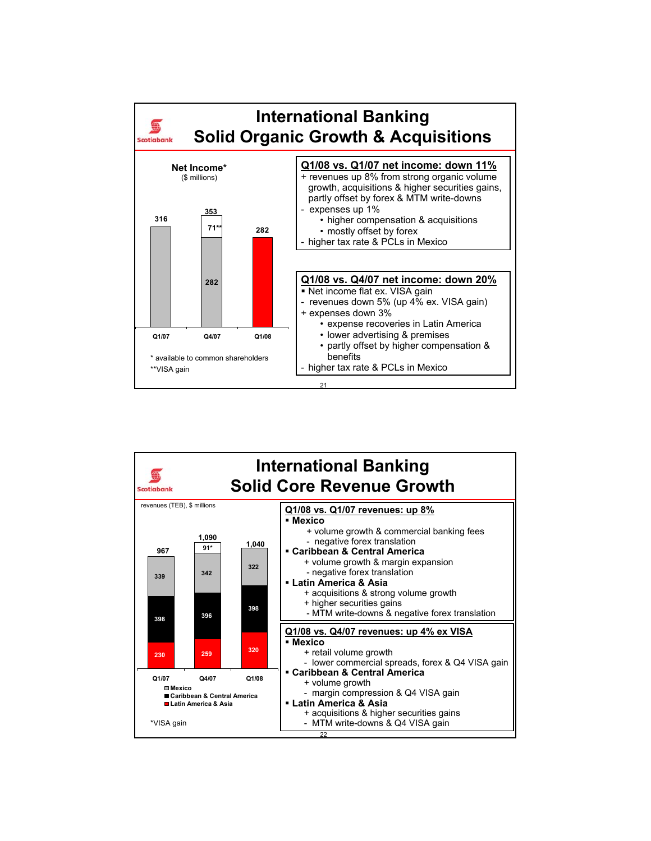

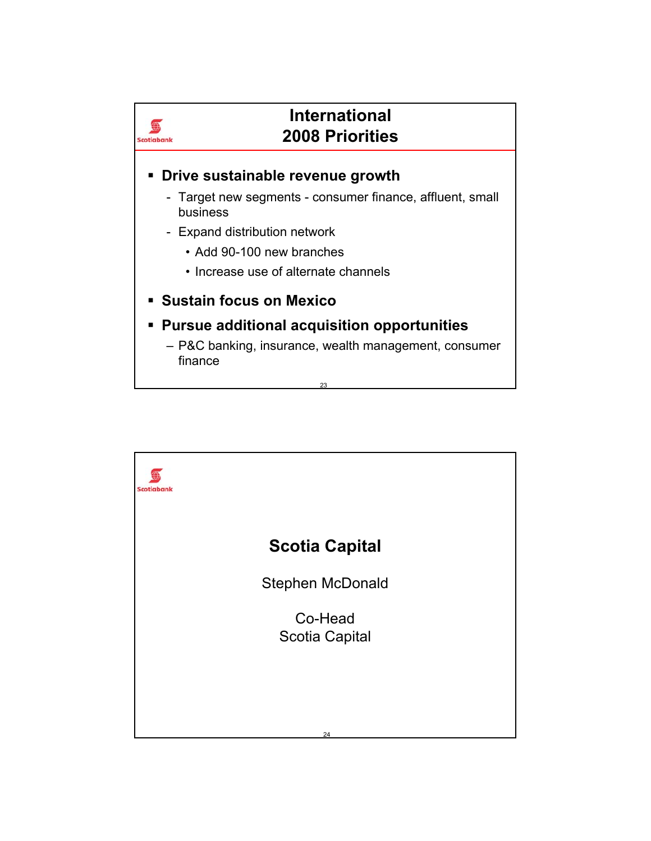

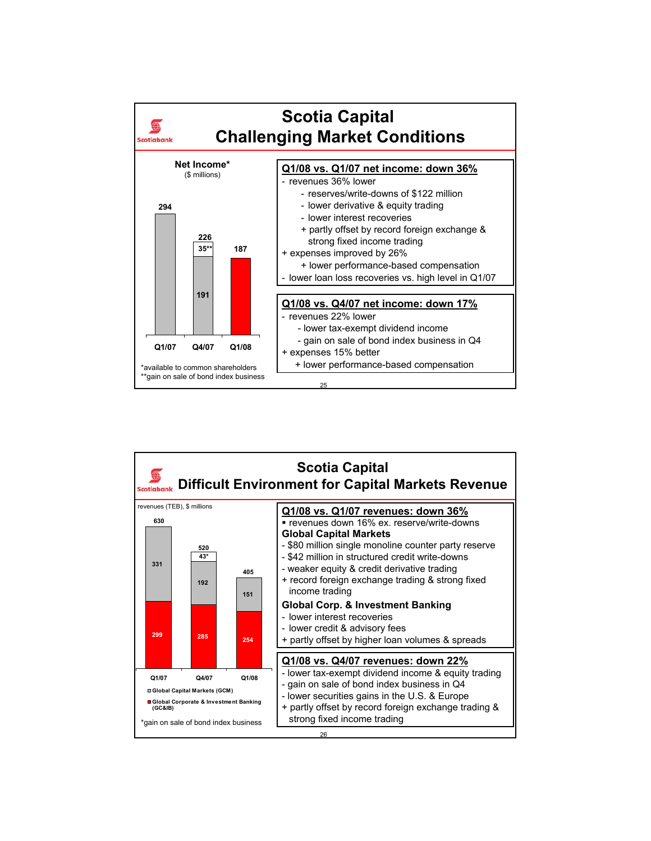

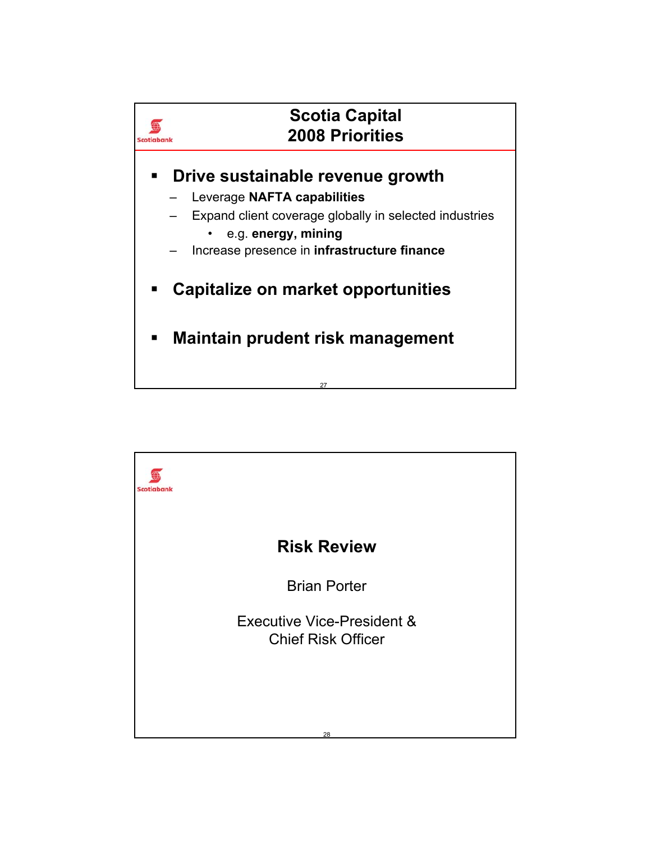

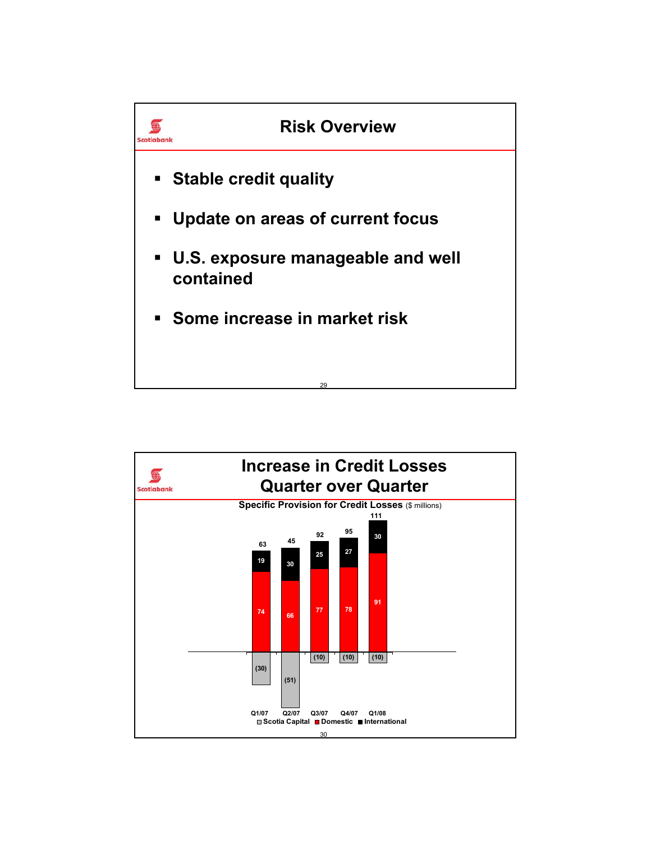

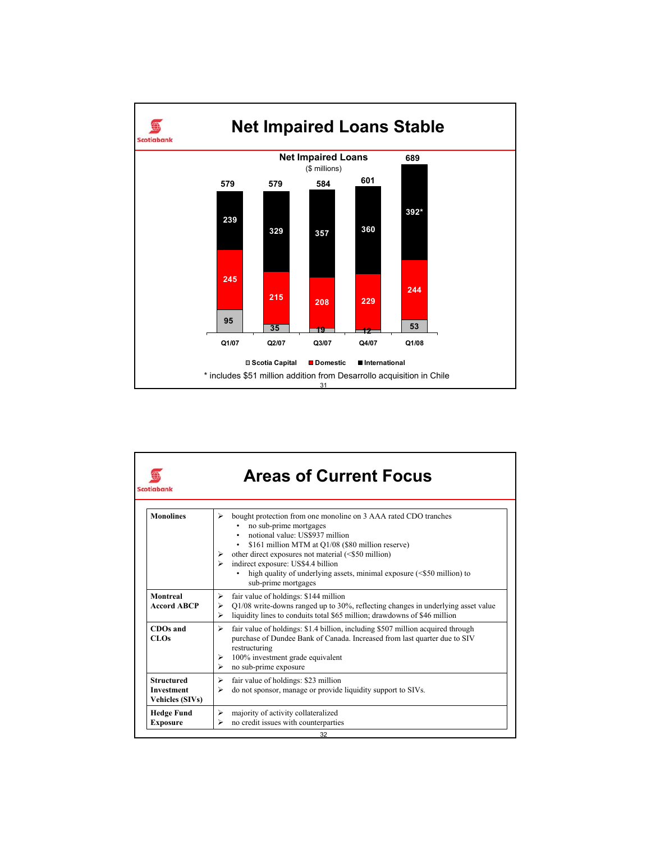

| Scotiabank                                                       | <b>Areas of Current Focus</b>                                                                                                                                                                                                                                                                                                                                                                                      |
|------------------------------------------------------------------|--------------------------------------------------------------------------------------------------------------------------------------------------------------------------------------------------------------------------------------------------------------------------------------------------------------------------------------------------------------------------------------------------------------------|
| <b>Monolines</b>                                                 | bought protection from one monoline on 3 AAA rated CDO tranches<br>⋗<br>no sub-prime mortgages<br>notional value: US\$937 million<br>\$161 million MTM at Q1/08 (\$80 million reserve)<br>٠<br>other direct exposures not material (<\$50 million)<br>➤<br>indirect exposure: US\$4.4 billion<br>$\triangleright$<br>high quality of underlying assets, minimal exposure (<\$50 million) to<br>sub-prime mortgages |
| Montreal<br><b>Accord ABCP</b>                                   | fair value of holdings: \$144 million<br>⋗<br>Q1/08 write-downs ranged up to 30%, reflecting changes in underlying asset value<br>⋗<br>liquidity lines to conduits total \$65 million; drawdowns of \$46 million<br>↘                                                                                                                                                                                              |
| CDOs and<br>CLOs                                                 | fair value of holdings: \$1.4 billion, including \$507 million acquired through<br>⋗<br>purchase of Dundee Bank of Canada. Increased from last quarter due to SIV<br>restructuring<br>100% investment grade equivalent<br>⋗<br>no sub-prime exposure<br>⋗                                                                                                                                                          |
| <b>Structured</b><br><b>Investment</b><br><b>Vehicles (SIVs)</b> | fair value of holdings: \$23 million<br>⋗<br>do not sponsor, manage or provide liquidity support to SIVs.<br>⋗                                                                                                                                                                                                                                                                                                     |
| <b>Hedge Fund</b><br><b>Exposure</b>                             | majority of activity collateralized<br>⋗<br>no credit issues with counterparties<br>↘                                                                                                                                                                                                                                                                                                                              |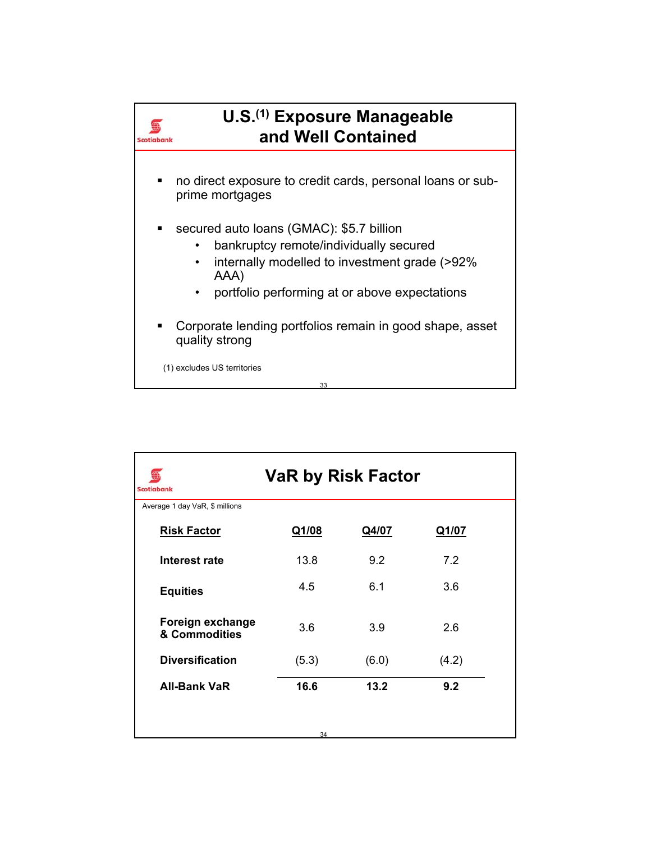

| <b>VaR by Risk Factor</b><br><b>Scotiabank</b> |       |       |              |  |  |  |  |
|------------------------------------------------|-------|-------|--------------|--|--|--|--|
| Average 1 day VaR, \$ millions                 |       |       |              |  |  |  |  |
| <b>Risk Factor</b>                             | Q1/08 | Q4/07 | <u>Q1/07</u> |  |  |  |  |
| Interest rate                                  | 13.8  | 9.2   | 7.2          |  |  |  |  |
| <b>Equities</b>                                | 4.5   | 6.1   | 3.6          |  |  |  |  |
| Foreign exchange<br>& Commodities              | 3.6   | 3.9   | 2.6          |  |  |  |  |
| <b>Diversification</b>                         | (5.3) | (6.0) | (4.2)        |  |  |  |  |
| <b>All-Bank VaR</b>                            | 16.6  | 13.2  | 9.2          |  |  |  |  |
|                                                |       |       |              |  |  |  |  |
|                                                | 34    |       |              |  |  |  |  |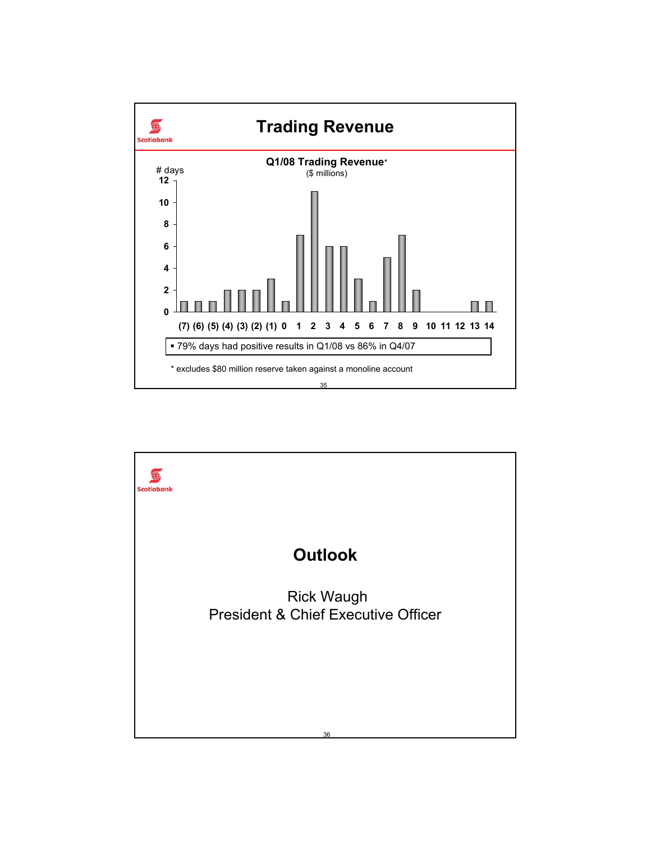

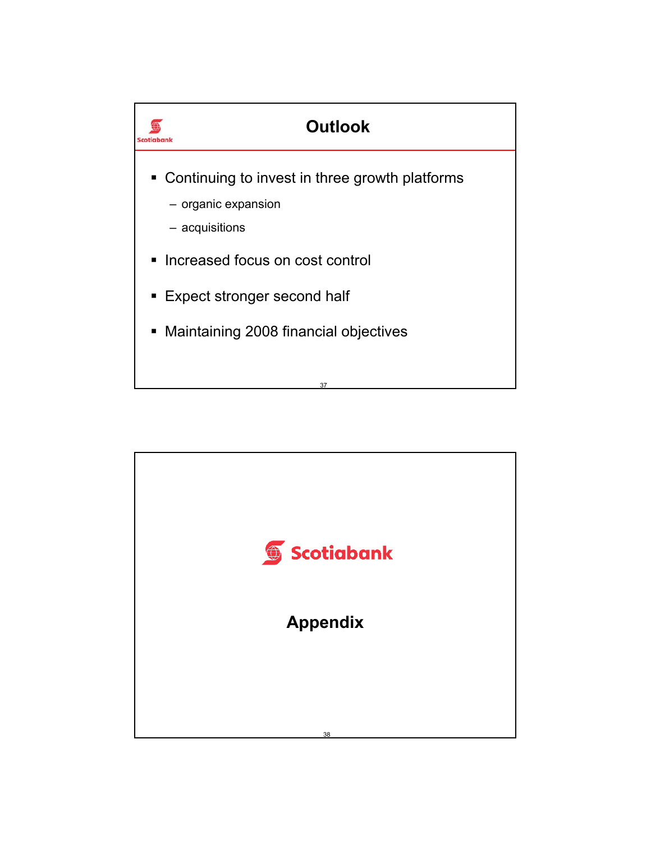

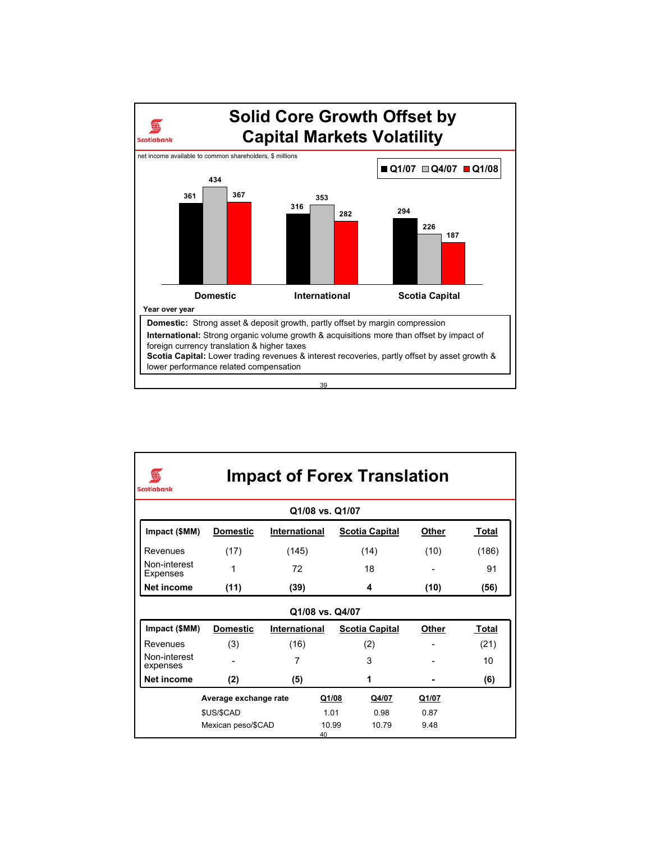

| <b>Impact of Forex Translation</b><br><b>Scotiabank</b> |                 |               |      |                       |       |       |  |  |
|---------------------------------------------------------|-----------------|---------------|------|-----------------------|-------|-------|--|--|
| Q1/08 vs. Q1/07                                         |                 |               |      |                       |       |       |  |  |
| Impact (\$MM)                                           | <b>Domestic</b> | International |      | <b>Scotia Capital</b> | Other | Total |  |  |
| Revenues                                                | (17)            | (145)         |      | (14)                  | (10)  | (186) |  |  |
| Non-interest<br>Expenses                                | 1               | 72            |      | 18                    |       | 91    |  |  |
| Net income                                              | (11)            | (39)          |      | 4                     | (10)  | (56)  |  |  |
| Q1/08 vs. Q4/07                                         |                 |               |      |                       |       |       |  |  |
| Impact (\$MM)                                           | <b>Domestic</b> | International |      | <b>Scotia Capital</b> | Other | Total |  |  |
| Revenues                                                | (3)             | (16)          |      | (2)                   |       | (21)  |  |  |
| Non-interest<br>expenses                                |                 | 7             |      | 3                     |       | 10    |  |  |
| <b>Net income</b>                                       | (2)             | (5)           |      | 1                     |       | (6)   |  |  |
| Average exchange rate<br>Q1/08<br>Q4/07<br>Q1/07        |                 |               |      |                       |       |       |  |  |
|                                                         | \$US/\$CAD      |               | 1.01 | 0.98                  | 0.87  |       |  |  |
| 10.99<br>10.79<br>Mexican peso/\$CAD<br>9.48<br>40      |                 |               |      |                       |       |       |  |  |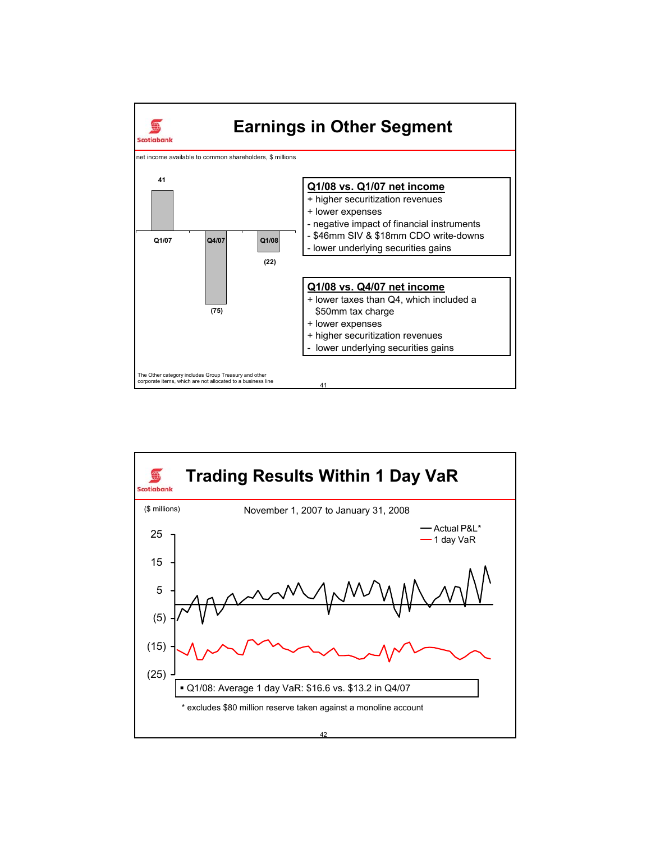